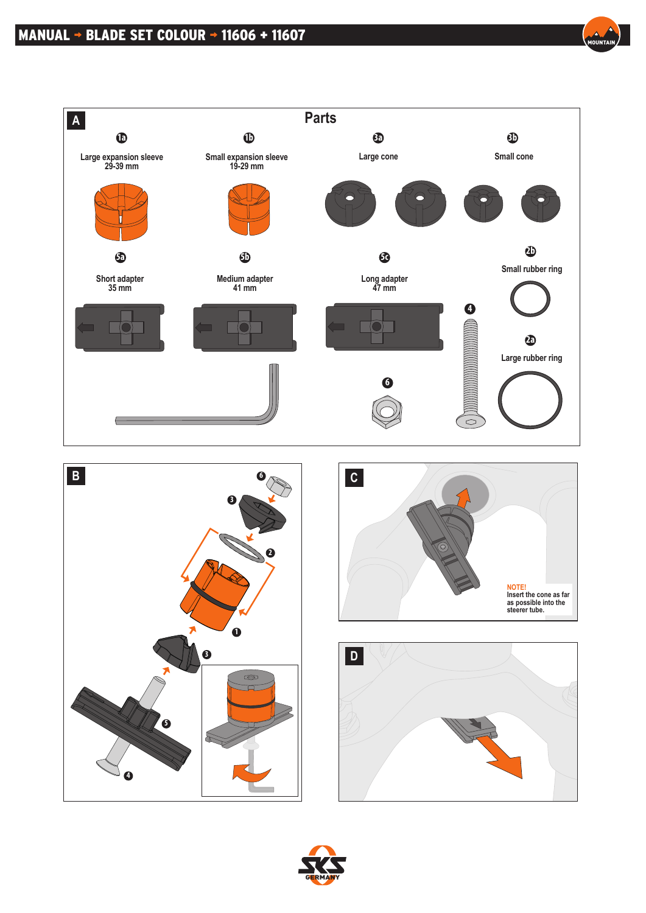









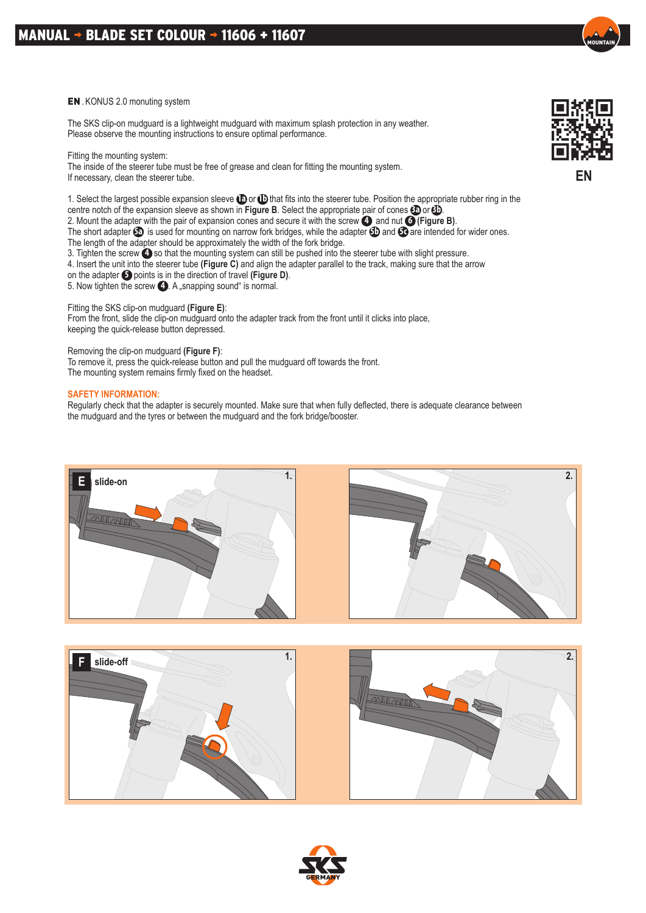## MANUAL  $\rightarrow$  BLADE SET COLOUR  $\rightarrow$  11606 + 11607

## EN . KONUS 2.0 monuting system

The SKS clip-on mudguard is a lightweight mudguard with maximum splash protection in any weather. Please observe the mounting instructions to ensure optimal performance.

Fitting the mounting system:

The inside of the steerer tube must be free of grease and clean for fitting the mounting system. If necessary, clean the steerer tube.

1. Select the largest possible expansion sleeve **1a** or **1b** that fits into the steerer tube. Position the appropriate rubber ring in the centre notch of the expansion sleeve as shown in **Figure B**. Select the appropriate pair of cones **3a** or **3b**. 2. Mount the adapter with the pair of expansion cones and secure it with the screw **4** and nut **6 (Figure B)**. The short adapter **5a** is used for mounting on narrow fork bridges, while the adapter **5b** and **5c** are intended for wider ones. The length of the adapter should be approximately the width of the fork bridge.

3. Tighten the screw **4** so that the mounting system can still be pushed into the steerer tube with slight pressure.

4. Insert the unit into the steerer tube **(Figure C)** and align the adapter parallel to the track, making sure that the arrow

on the adapter **5** points is in the direction of travel **(Figure D)**.

5. Now tighten the screw **4** . A snapping sound " is normal.

Fitting the SKS clip-on mudguard **(Figure E)**: From the front, slide the clip-on mudguard onto the adapter track from the front until it clicks into place, keeping the quick-release button depressed.

Removing the clip-on mudguard **(Figure F)**:

To remove it, press the quick-release button and pull the mudguard off towards the front. The mounting system remains firmly fixed on the headset.

## **SAFETY INFORMATION:**

Regularly check that the adapter is securely mounted. Make sure that when fully deflected, there is adequate clearance between the mudguard and the tyres or between the mudguard and the fork bridge/booster.









**EN**